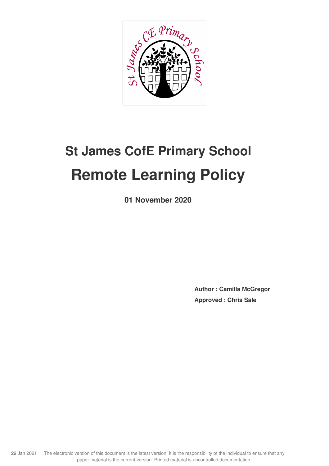

# **St James CofE Primary School Remote Learning Policy**

**01 November 2020**

**Author : Camilla McGregor Approved : Chris Sale**

29 Jan 2021 The electronic version of this document is the latest version. It is the responsibility of the individual to ensure that any paper material is the current version. Printed material is uncontrolled documentation.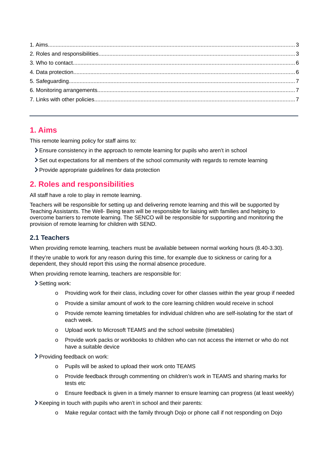## <span id="page-1-0"></span>**1. Aims**

This remote learning policy for staff aims to:

- Ensure consistency in the approach to remote learning for pupils who aren't in school
- Set out expectations for all members of the school community with regards to remote learning
- Provide appropriate guidelines for data protection

# <span id="page-1-1"></span>**2. Roles and responsibilities**

All staff have a role to play in remote learning.

Teachers will be responsible for setting up and delivering remote learning and this will be supported by Teaching Assistants. The Well- Being team will be responsible for liaising with families and helping to overcome barriers to remote learning. The SENCO will be responsible for supporting and monitoring the provision of remote learning for children with SEND.

## **2.1 Teachers**

When providing remote learning, teachers must be available between normal working hours (8.40-3.30).

If they're unable to work for any reason during this time, for example due to sickness or caring for a dependent, they should report this using the normal absence procedure.

When providing remote learning, teachers are responsible for:

> Setting work:

- o Providing work for their class, including cover for other classes within the year group if needed
- o Provide a similar amount of work to the core learning children would receive in school
- o Provide remote learning timetables for individual children who are self-isolating for the start of each week.
- o Upload work to Microsoft TEAMS and the school website (timetables)
- o Provide work packs or workbooks to children who can not access the internet or who do not have a suitable device
- Providing feedback on work:
	- o Pupils will be asked to upload their work onto TEAMS
	- o Provide feedback through commenting on children's work in TEAMS and sharing marks for tests etc
	- o Ensure feedback is given in a timely manner to ensure learning can progress (at least weekly)

 $\triangleright$  Keeping in touch with pupils who aren't in school and their parents:

o Make regular contact with the family through Dojo or phone call if not responding on Dojo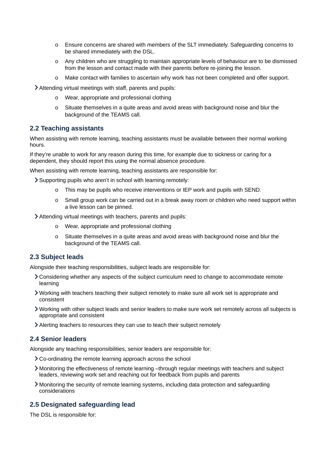- o Ensure concerns are shared with members of the SLT immediately. Safeguarding concerns to be shared immediately with the DSL.
- o Any children who are struggling to maintain appropriate levels of behaviour are to be dismissed from the lesson and contact made with their parents before re-joining the lesson.
- o Make contact with families to ascertain why work has not been completed and offer support.

Attending virtual meetings with staff, parents and pupils:

- o Wear, appropriate and professional clothing
- o Situate themselves in a quite areas and avoid areas with background noise and blur the background of the TEAMS call.

#### **2.2 Teaching assistants**

When assisting with remote learning, teaching assistants must be available between their normal working hours.

If they're unable to work for any reason during this time, for example due to sickness or caring for a dependent, they should report this using the normal absence procedure.

When assisting with remote learning, teaching assistants are responsible for:

Supporting pupils who aren't in school with learning remotely:

- o This may be pupils who receive interventions or IEP work and pupils with SEND.
- o Small group work can be carried out in a break away room or children who need support within a live lesson can be pinned.

Attending virtual meetings with teachers, parents and pupils:

- o Wear, appropriate and professional clothing
- o Situate themselves in a quite areas and avoid areas with background noise and blur the background of the TEAMS call.

#### **2.3 Subject leads**

Alongside their teaching responsibilities, subject leads are responsible for:

- Considering whether any aspects of the subject curriculum need to change to accommodate remote learning
- Working with teachers teaching their subject remotely to make sure all work set is appropriate and consistent
- Working with other subject leads and senior leaders to make sure work set remotely across all subjects is appropriate and consistent
- Alerting teachers to resources they can use to teach their subject remotely

#### **2.4 Senior leaders**

Alongside any teaching responsibilities, senior leaders are responsible for:

- Co-ordinating the remote learning approach across the school
- Monitoring the effectiveness of remote learning –through regular meetings with teachers and subject leaders, reviewing work set and reaching out for feedback from pupils and parents
- Monitoring the security of remote learning systems, including data protection and safeguarding considerations

## **2.5 Designated safeguarding lead**

The DSL is responsible for: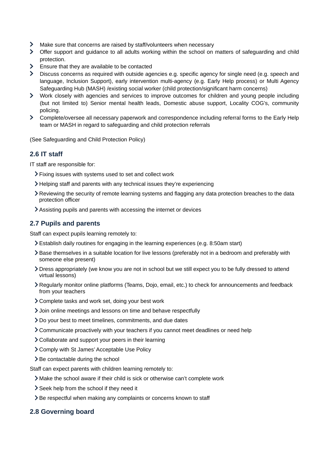- Make sure that concerns are raised by staff/volunteers when necessary
- Offer support and guidance to all adults working within the school on matters of safeguarding and child protection.
- Ensure that they are available to be contacted
- Discuss concerns as required with outside agencies e.g. specific agency for single need (e.g. speech and language, Inclusion Support), early intervention multi-agency (e.g. Early Help process) or Multi Agency Safeguarding Hub (MASH) /existing social worker (child protection/significant harm concerns)
- Work closely with agencies and services to improve outcomes for children and young people including (but not limited to) Senior mental health leads, Domestic abuse support, Locality COG's, community policing.
- Complete/oversee all necessary paperwork and correspondence including referral forms to the Early Help team or MASH in regard to safeguarding and child protection referrals

(See Safeguarding and Child Protection Policy)

## **2.6 IT staff**

IT staff are responsible for:

- Fixing issues with systems used to set and collect work
- Helping staff and parents with any technical issues they're experiencing
- Reviewing the security of remote learning systems and flagging any data protection breaches to the data protection officer
- Assisting pupils and parents with accessing the internet or devices

#### **2.7 Pupils and parents**

Staff can expect pupils learning remotely to:

- Establish daily routines for engaging in the learning experiences (e.g. 8:50am start)
- Base themselves in a suitable location for live lessons (preferably not in a bedroom and preferably with someone else present)
- Dress appropriately (we know you are not in school but we still expect you to be fully dressed to attend virtual lessons)
- Regularly monitor online platforms (Teams, Dojo, email, etc.) to check for announcements and feedback from your teachers
- Complete tasks and work set, doing your best work
- Join online meetings and lessons on time and behave respectfully
- Do your best to meet timelines, commitments, and due dates
- Communicate proactively with your teachers if you cannot meet deadlines or need help
- Collaborate and support your peers in their learning
- > Comply with St James' Acceptable Use Policy
- $\geq$  Be contactable during the school

Staff can expect parents with children learning remotely to:

- Make the school aware if their child is sick or otherwise can't complete work
- > Seek help from the school if they need it
- > Be respectful when making any complaints or concerns known to staff

## **2.8 Governing board**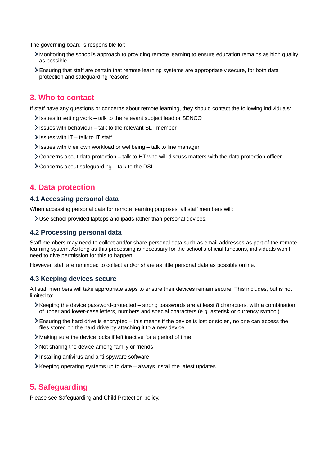The governing board is responsible for:

- Monitoring the school's approach to providing remote learning to ensure education remains as high quality as possible
- Ensuring that staff are certain that remote learning systems are appropriately secure, for both data protection and safeguarding reasons

## <span id="page-4-2"></span>**3. Who to contact**

If staff have any questions or concerns about remote learning, they should contact the following individuals:

- Issues in setting work talk to the relevant subject lead or SENCO
- $\ge$  Issues with behaviour talk to the relevant SLT member
- $\ge$  Issues with IT talk to IT staff
- Issues with their own workload or wellbeing talk to line manager
- Concerns about data protection talk to HT who will discuss matters with the data protection officer
- Concerns about safeguarding talk to the DSL

#### <span id="page-4-1"></span>**4. Data protection**

#### **4.1 Accessing personal data**

When accessing personal data for remote learning purposes, all staff members will:

Use school provided laptops and ipads rather than personal devices.

#### **4.2 Processing personal data**

Staff members may need to collect and/or share personal data such as email addresses as part of the remote learning system. As long as this processing is necessary for the school's official functions, individuals won't need to give permission for this to happen.

However, staff are reminded to collect and/or share as little personal data as possible online.

#### **4.3 Keeping devices secure**

All staff members will take appropriate steps to ensure their devices remain secure. This includes, but is not limited to:

- $\blacktriangleright$  Keeping the device password-protected strong passwords are at least 8 characters, with a combination of upper and lower-case letters, numbers and special characters (e.g. asterisk or currency symbol)
- Ensuring the hard drive is encrypted this means if the device is lost or stolen, no one can access the files stored on the hard drive by attaching it to a new device
- Making sure the device locks if left inactive for a period of time
- Not sharing the device among family or friends
- Installing antivirus and anti-spyware software
- $\triangleright$  Keeping operating systems up to date always install the latest updates

#### <span id="page-4-0"></span>**5. Safeguarding**

Please see Safeguarding and Child Protection policy.